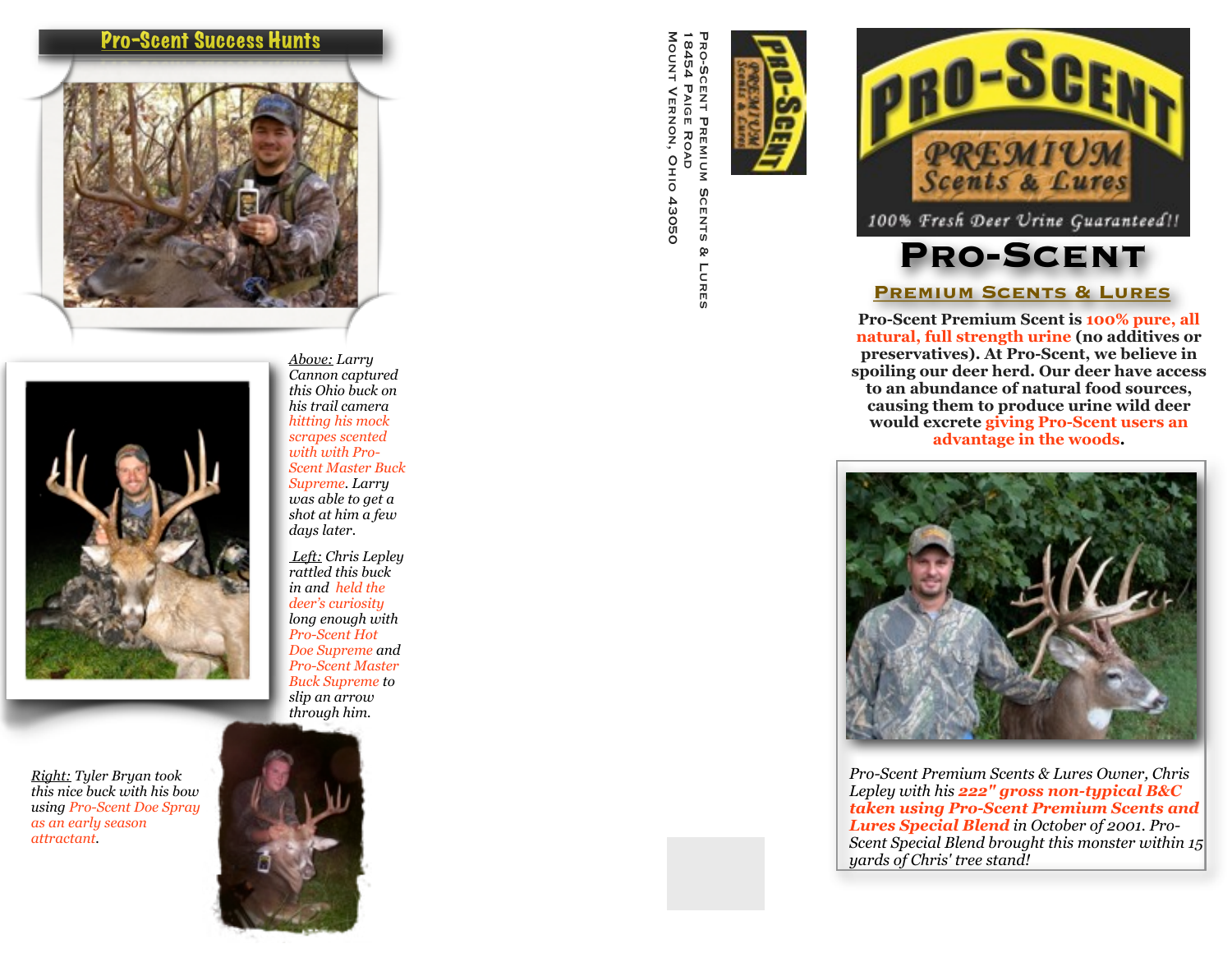## <u>Pro-Scent Success Hunts</u>





*Right: Tyler Bryan took this nice buck with his bow using Pro-Scent Doe Spray as an early season attractant.* 

*Above: Larry Cannon captured this Ohio buck on his trail camera hitting his mock scrapes scented with with Pro-Scent Master Buck Supreme. Larry was able to get a shot at him a few days later.*

*Left: Chris Lepley rattled this buck in and held the deer's curiosity long enough with Pro-Scent Hot Doe Supreme and Pro-Scent Master Buck Supreme to slip an arrow through him.*



PRO-SCENT PREMIUM SCENTS<br>18454 PAIGE ROAD<br>MOUNT VERNON, OHIO 43050 Mount Vernon, Ohio 43050 18454 Paige Road Pro-Scent Premium Scents & Lures & LuRES





## **Premium Scents & Lures**

**Pro-Scent Premium Scent is 100% pure, all natural, full strength urine (no additives or preservatives). At Pro-Scent, we believe in spoiling our deer herd. Our deer have access to an abundance of natural food sources, causing them to produce urine wild deer would excrete giving Pro-Scent users an advantage in the woods.** 



*Pro-Scent Premium Scents & Lures Owner, Chris Lepley with his 222" gross non-typical B&C taken using Pro-Scent Premium Scents and Lures Special Blend in October of 2001. Pro-Scent Special Blend brought this monster within 15 yards of Chris' tree stand!*